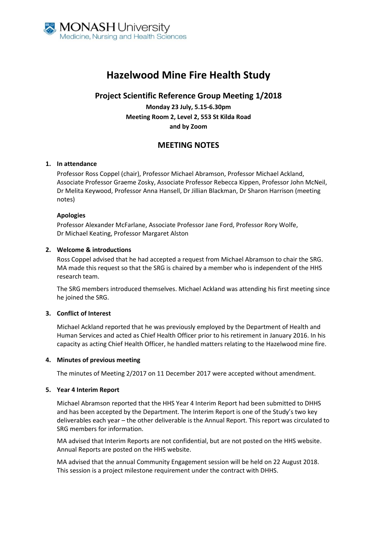

# **Hazelwood Mine Fire Health Study**

## **Project Scientific Reference Group Meeting 1/2018**

**Monday 23 July, 5.15-6.30pm Meeting Room 2, Level 2, 553 St Kilda Road and by Zoom**

# **MEETING NOTES**

## **1. In attendance**

Professor Ross Coppel (chair), Professor Michael Abramson, Professor Michael Ackland, Associate Professor Graeme Zosky, Associate Professor Rebecca Kippen, Professor John McNeil, Dr Melita Keywood, Professor Anna Hansell, Dr Jillian Blackman, Dr Sharon Harrison (meeting notes)

## **Apologies**

Professor Alexander McFarlane, Associate Professor Jane Ford, Professor Rory Wolfe, Dr Michael Keating, Professor Margaret Alston

## **2. Welcome & introductions**

Ross Coppel advised that he had accepted a request from Michael Abramson to chair the SRG. MA made this request so that the SRG is chaired by a member who is independent of the HHS research team.

The SRG members introduced themselves. Michael Ackland was attending his first meeting since he joined the SRG.

## **3. Conflict of Interest**

Michael Ackland reported that he was previously employed by the Department of Health and Human Services and acted as Chief Health Officer prior to his retirement in January 2016. In his capacity as acting Chief Health Officer, he handled matters relating to the Hazelwood mine fire.

### **4. Minutes of previous meeting**

The minutes of Meeting 2/2017 on 11 December 2017 were accepted without amendment.

### **5. Year 4 Interim Report**

Michael Abramson reported that the HHS Year 4 Interim Report had been submitted to DHHS and has been accepted by the Department. The Interim Report is one of the Study's two key deliverables each year – the other deliverable is the Annual Report. This report was circulated to SRG members for information.

MA advised that Interim Reports are not confidential, but are not posted on the HHS website. Annual Reports are posted on the HHS website.

MA advised that the annual Community Engagement session will be held on 22 August 2018. This session is a project milestone requirement under the contract with DHHS.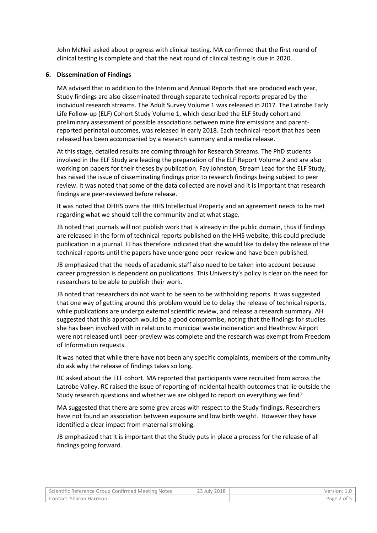John McNeil asked about progress with clinical testing. MA confirmed that the first round of clinical testing is complete and that the next round of clinical testing is due in 2020.

## **6. Dissemination of Findings**

MA advised that in addition to the Interim and Annual Reports that are produced each year, Study findings are also disseminated through separate technical reports prepared by the individual research streams. The Adult Survey Volume 1 was released in 2017. The Latrobe Early Life Follow-up (ELF) Cohort Study Volume 1, which described the ELF Study cohort and preliminary assessment of possible associations between mine fire emissions and parentreported perinatal outcomes, was released in early 2018. Each technical report that has been released has been accompanied by a research summary and a media release.

At this stage, detailed results are coming through for Research Streams. The PhD students involved in the ELF Study are leading the preparation of the ELF Report Volume 2 and are also working on papers for their theses by publication. Fay Johnston, Stream Lead for the ELF Study, has raised the issue of disseminating findings prior to research findings being subject to peer review. It was noted that some of the data collected are novel and it is important that research findings are peer-reviewed before release.

It was noted that DHHS owns the HHS Intellectual Property and an agreement needs to be met regarding what we should tell the community and at what stage.

JB noted that journals will not publish work that is already in the public domain, thus if findings are released in the form of technical reports published on the HHS website, this could preclude publication in a journal. FJ has therefore indicated that she would like to delay the release of the technical reports until the papers have undergone peer-review and have been published.

JB emphasized that the needs of academic staff also need to be taken into account because career progression is dependent on publications. This University's policy is clear on the need for researchers to be able to publish their work.

JB noted that researchers do not want to be seen to be withholding reports. It was suggested that one way of getting around this problem would be to delay the release of technical reports, while publications are undergo external scientific review, and release a research summary. AH suggested that this approach would be a good compromise, noting that the findings for studies she has been involved with in relation to municipal waste incineration and Heathrow Airport were not released until peer-preview was complete and the research was exempt from Freedom of Information requests.

It was noted that while there have not been any specific complaints, members of the community do ask why the release of findings takes so long.

RC asked about the ELF cohort. MA reported that participants were recruited from across the Latrobe Valley. RC raised the issue of reporting of incidental health outcomes that lie outside the Study research questions and whether we are obliged to report on everything we find?

MA suggested that there are some grey areas with respect to the Study findings. Researchers have not found an association between exposure and low birth weight. However they have identified a clear impact from maternal smoking.

JB emphasized that it is important that the Study puts in place a process for the release of all findings going forward.

| Scientific Reference Group Confirmed Meeting Notes | <sup>2</sup> 3 July 2018 | Version: 1.0 |
|----------------------------------------------------|--------------------------|--------------|
| Contact: Sharon Harrison                           |                          | Page 2 of 5  |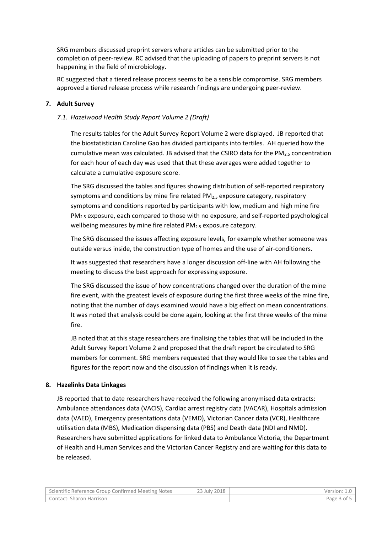SRG members discussed preprint servers where articles can be submitted prior to the completion of peer-review. RC advised that the uploading of papers to preprint servers is not happening in the field of microbiology.

RC suggested that a tiered release process seems to be a sensible compromise. SRG members approved a tiered release process while research findings are undergoing peer-review.

## **7. Adult Survey**

## *7.1. Hazelwood Health Study Report Volume 2 (Draft)*

The results tables for the Adult Survey Report Volume 2 were displayed. JB reported that the biostatistician Caroline Gao has divided participants into tertiles. AH queried how the cumulative mean was calculated. JB advised that the CSIRO data for the  $PM_{2.5}$  concentration for each hour of each day was used that that these averages were added together to calculate a cumulative exposure score.

The SRG discussed the tables and figures showing distribution of self-reported respiratory symptoms and conditions by mine fire related  $PM<sub>2.5</sub>$  exposure category, respiratory symptoms and conditions reported by participants with low, medium and high mine fire PM2.5 exposure, each compared to those with no exposure, and self-reported psychological wellbeing measures by mine fire related PM<sub>2.5</sub> exposure category.

The SRG discussed the issues affecting exposure levels, for example whether someone was outside versus inside, the construction type of homes and the use of air-conditioners.

It was suggested that researchers have a longer discussion off-line with AH following the meeting to discuss the best approach for expressing exposure.

The SRG discussed the issue of how concentrations changed over the duration of the mine fire event, with the greatest levels of exposure during the first three weeks of the mine fire, noting that the number of days examined would have a big effect on mean concentrations. It was noted that analysis could be done again, looking at the first three weeks of the mine fire.

JB noted that at this stage researchers are finalising the tables that will be included in the Adult Survey Report Volume 2 and proposed that the draft report be circulated to SRG members for comment. SRG members requested that they would like to see the tables and figures for the report now and the discussion of findings when it is ready.

## **8. Hazelinks Data Linkages**

JB reported that to date researchers have received the following anonymised data extracts: Ambulance attendances data (VACIS), Cardiac arrest registry data (VACAR), Hospitals admission data (VAED), Emergency presentations data (VEMD), Victorian Cancer data (VCR), Healthcare utilisation data (MBS), Medication dispensing data (PBS) and Death data (NDI and NMD). Researchers have submitted applications for linked data to Ambulance Victoria, the Department of Health and Human Services and the Victorian Cancer Registry and are waiting for this data to be released.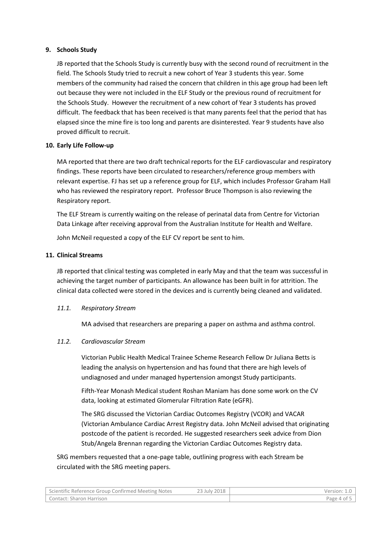## **9. Schools Study**

JB reported that the Schools Study is currently busy with the second round of recruitment in the field. The Schools Study tried to recruit a new cohort of Year 3 students this year. Some members of the community had raised the concern that children in this age group had been left out because they were not included in the ELF Study or the previous round of recruitment for the Schools Study. However the recruitment of a new cohort of Year 3 students has proved difficult. The feedback that has been received is that many parents feel that the period that has elapsed since the mine fire is too long and parents are disinterested. Year 9 students have also proved difficult to recruit.

## **10. Early Life Follow-up**

MA reported that there are two draft technical reports for the ELF cardiovascular and respiratory findings. These reports have been circulated to researchers/reference group members with relevant expertise. FJ has set up a reference group for ELF, which includes Professor Graham Hall who has reviewed the respiratory report. Professor Bruce Thompson is also reviewing the Respiratory report.

The ELF Stream is currently waiting on the release of perinatal data from Centre for Victorian Data Linkage after receiving approval from the Australian Institute for Health and Welfare.

John McNeil requested a copy of the ELF CV report be sent to him.

## **11. Clinical Streams**

JB reported that clinical testing was completed in early May and that the team was successful in achieving the target number of participants. An allowance has been built in for attrition. The clinical data collected were stored in the devices and is currently being cleaned and validated.

### *11.1. Respiratory Stream*

MA advised that researchers are preparing a paper on asthma and asthma control.

### *11.2. Cardiovascular Stream*

Victorian Public Health Medical Trainee Scheme Research Fellow Dr Juliana Betts is leading the analysis on hypertension and has found that there are high levels of undiagnosed and under managed hypertension amongst Study participants.

Fifth-Year Monash Medical student Roshan Maniam has done some work on the CV data, looking at estimated Glomerular Filtration Rate (eGFR).

The SRG discussed the Victorian Cardiac Outcomes Registry (VCOR) and VACAR (Victorian Ambulance Cardiac Arrest Registry data. John McNeil advised that originating postcode of the patient is recorded. He suggested researchers seek advice from Dion Stub/Angela Brennan regarding the Victorian Cardiac Outcomes Registry data.

SRG members requested that a one-page table, outlining progress with each Stream be circulated with the SRG meeting papers.

| Scientific Reference Group Confirmed Meeting Notes | 23 July 2018 | Version:    |
|----------------------------------------------------|--------------|-------------|
| Contact: Sharon Harrison                           |              | Page 4 of ! |